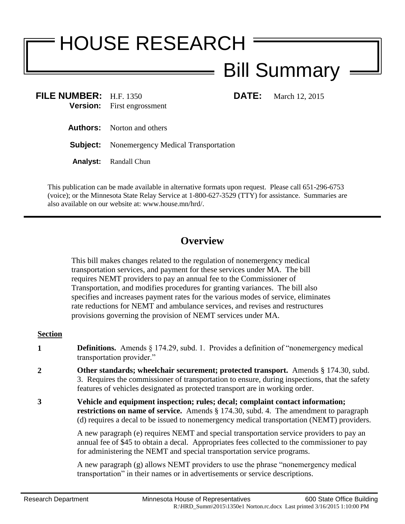# HOUSE RESEARCH Bill Summary

**FILE NUMBER:** H.F. 1350 **DATE:** March 12, 2015 **Version:** First engrossment

**Authors:** Norton and others

**Subject:** Nonemergency Medical Transportation

**Analyst:** Randall Chun

This publication can be made available in alternative formats upon request. Please call 651-296-6753 (voice); or the Minnesota State Relay Service at 1-800-627-3529 (TTY) for assistance. Summaries are also available on our website at: www.house.mn/hrd/.

## **Overview**

This bill makes changes related to the regulation of nonemergency medical transportation services, and payment for these services under MA. The bill requires NEMT providers to pay an annual fee to the Commissioner of Transportation, and modifies procedures for granting variances. The bill also specifies and increases payment rates for the various modes of service, eliminates rate reductions for NEMT and ambulance services, and revises and restructures provisions governing the provision of NEMT services under MA.

### **Section**

- **1 Definitions.** Amends § 174.29, subd. 1. Provides a definition of "nonemergency medical transportation provider."
- **2 Other standards; wheelchair securement; protected transport.** Amends § 174.30, subd. 3. Requires the commissioner of transportation to ensure, during inspections, that the safety features of vehicles designated as protected transport are in working order.
- **3 Vehicle and equipment inspection; rules; decal; complaint contact information; restrictions on name of service.** Amends § 174.30, subd. 4. The amendment to paragraph (d) requires a decal to be issued to nonemergency medical transportation (NEMT) providers.

A new paragraph (e) requires NEMT and special transportation service providers to pay an annual fee of \$45 to obtain a decal. Appropriates fees collected to the commissioner to pay for administering the NEMT and special transportation service programs.

A new paragraph (g) allows NEMT providers to use the phrase "nonemergency medical transportation" in their names or in advertisements or service descriptions.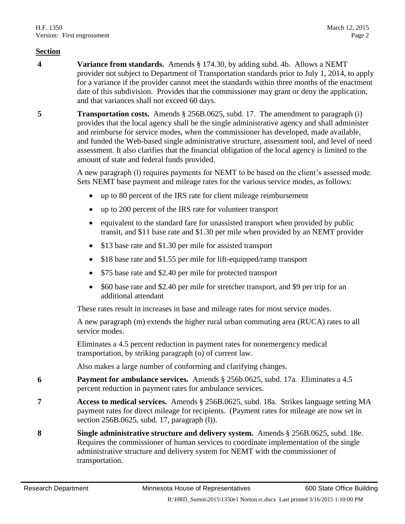#### **Section**

- **4 Variance from standards.** Amends § 174.30, by adding subd. 4b. Allows a NEMT provider not subject to Department of Transportation standards prior to July 1, 2014, to apply for a variance if the provider cannot meet the standards within three months of the enactment date of this subdivision. Provides that the commissioner may grant or deny the application, and that variances shall not exceed 60 days.
- **5 Transportation costs.** Amends § 256B.0625, subd. 17. The amendment to paragraph (i) provides that the local agency shall be the single administrative agency and shall administer and reimburse for service modes, when the commissioner has developed, made available, and funded the Web-based single administrative structure, assessment tool, and level of need assessment. It also clarifies that the financial obligation of the local agency is limited to the amount of state and federal funds provided.

A new paragraph (l) requires payments for NEMT to be based on the client's assessed mode. Sets NEMT base payment and mileage rates for the various service modes, as follows:

- up to 80 percent of the IRS rate for client mileage reimbursement
- up to 200 percent of the IRS rate for volunteer transport
- equivalent to the standard fare for unassisted transport when provided by public transit, and \$11 base rate and \$1.30 per mile when provided by an NEMT provider
- \$13 base rate and \$1.30 per mile for assisted transport
- \$18 base rate and \$1.55 per mile for lift-equipped/ramp transport
- \$75 base rate and \$2.40 per mile for protected transport
- \$60 base rate and \$2.40 per mile for stretcher transport, and \$9 per trip for an additional attendant

These rates result in increases in base and mileage rates for most service modes.

A new paragraph (m) extends the higher rural urban commuting area (RUCA) rates to all service modes.

Eliminates a 4.5 percent reduction in payment rates for nonemergency medical transportation, by striking paragraph (o) of current law.

Also makes a large number of conforming and clarifying changes.

- **6 Payment for ambulance services.** Amends § 256b.0625, subd. 17a. Eliminates a 4.5 percent reduction in payment rates for ambulance services.
- **7 Access to medical services.** Amends § 256B.0625, subd. 18a. Strikes language setting MA payment rates for direct mileage for recipients. (Payment rates for mileage are now set in section 256B.0625, subd. 17, paragraph (l)).
- **8 Single administrative structure and delivery system.** Amends § 256B.0625, subd. 18e. Requires the commissioner of human services to coordinate implementation of the single administrative structure and delivery system for NEMT with the commissioner of transportation.